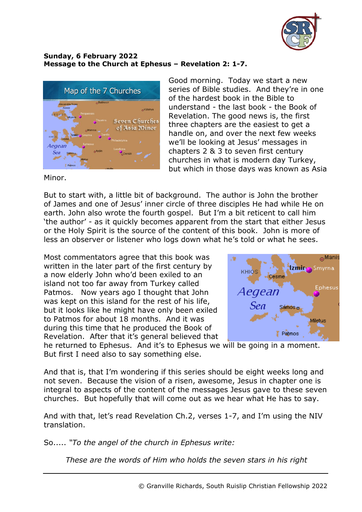

## **Sunday, 6 February 2022 Message to the Church at Ephesus – Revelation 2: 1-7.**



Good morning. Today we start a new series of Bible studies. And they're in one of the hardest book in the Bible to understand - the last book - the Book of Revelation. The good news is, the first three chapters are the easiest to get a handle on, and over the next few weeks we'll be looking at Jesus' messages in chapters 2 & 3 to seven first century churches in what is modern day Turkey, but which in those days was known as Asia

Minor.

But to start with, a little bit of background. The author is John the brother of James and one of Jesus' inner circle of three disciples He had while He on earth. John also wrote the fourth gospel. But I'm a bit reticent to call him 'the author' - as it quickly becomes apparent from the start that either Jesus or the Holy Spirit is the source of the content of this book. John is more of less an observer or listener who logs down what he's told or what he sees.

Most commentators agree that this book was written in the later part of the first century by a now elderly John who'd been exiled to an island not too far away from Turkey called Patmos. Now years ago I thought that John was kept on this island for the rest of his life, but it looks like he might have only been exiled to Patmos for about 18 months. And it was during this time that he produced the Book of Revelation. After that it's general believed that



he returned to Ephesus. And it's to Ephesus we will be going in a moment. But first I need also to say something else.

And that is, that I'm wondering if this series should be eight weeks long and not seven. Because the vision of a risen, awesome, Jesus in chapter one is integral to aspects of the content of the messages Jesus gave to these seven churches. But hopefully that will come out as we hear what He has to say.

And with that, let's read Revelation Ch.2, verses 1-7, and I'm using the NIV translation.

So..... *"To the angel of the church in Ephesus write:*

*These are the words of Him who holds the seven stars in his right*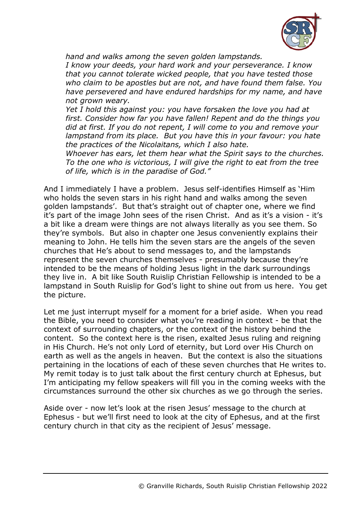

*hand and walks among the seven golden lampstands.*

*I know your deeds, your hard work and your perseverance. I know that you cannot tolerate wicked people, that you have tested those who claim to be apostles but are not, and have found them false. You have persevered and have endured hardships for my name, and have not grown weary.*

*Yet I hold this against you: you have forsaken the love you had at first. Consider how far you have fallen! Repent and do the things you did at first. If you do not repent, I will come to you and remove your lampstand from its place. But you have this in your favour: you hate the practices of the Nicolaitans, which I also hate.*

*Whoever has ears, let them hear what the Spirit says to the churches. To the one who is victorious, I will give the right to eat from the tree of life, which is in the paradise of God."*

And I immediately I have a problem. Jesus self-identifies Himself as 'Him who holds the seven stars in his right hand and walks among the seven golden lampstands'. But that's straight out of chapter one, where we find it's part of the image John sees of the risen Christ. And as it's a vision - it's a bit like a dream were things are not always literally as you see them. So they're symbols. But also in chapter one Jesus conveniently explains their meaning to John. He tells him the seven stars are the angels of the seven churches that He's about to send messages to, and the lampstands represent the seven churches themselves - presumably because they're intended to be the means of holding Jesus light in the dark surroundings they live in. A bit like South Ruislip Christian Fellowship is intended to be a lampstand in South Ruislip for God's light to shine out from us here. You get the picture.

Let me just interrupt myself for a moment for a brief aside. When you read the Bible, you need to consider what you're reading in context - be that the context of surrounding chapters, or the context of the history behind the content. So the context here is the risen, exalted Jesus ruling and reigning in His Church. He's not only Lord of eternity, but Lord over His Church on earth as well as the angels in heaven. But the context is also the situations pertaining in the locations of each of these seven churches that He writes to. My remit today is to just talk about the first century church at Ephesus, but I'm anticipating my fellow speakers will fill you in the coming weeks with the circumstances surround the other six churches as we go through the series.

Aside over - now let's look at the risen Jesus' message to the church at Ephesus - but we'll first need to look at the city of Ephesus, and at the first century church in that city as the recipient of Jesus' message.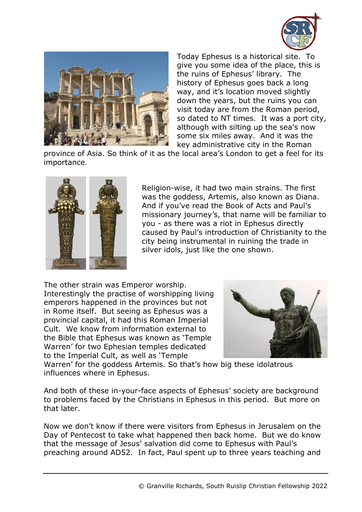



Today Ephesus is a historical site. To give you some idea of the place, this is the ruins of Ephesus' library. The history of Ephesus goes back a long way, and it's location moved slightly down the years, but the ruins you can visit today are from the Roman period, so dated to NT times. It was a port city, although with silting up the sea's now some six miles away. And it was the key administrative city in the Roman

province of Asia. So think of it as the local area's London to get a feel for its importance.



Religion-wise, it had two main strains. The first was the goddess, Artemis, also known as Diana. And if you've read the Book of Acts and Paul's missionary journey's, that name will be familiar to you - as there was a riot in Ephesus directly caused by Paul's introduction of Christianity to the city being instrumental in ruining the trade in silver idols, just like the one shown.

The other strain was Emperor worship. Interestingly the practise of worshipping living emperors happened in the provinces but not in Rome itself. But seeing as Ephesus was a provincial capital, it had this Roman Imperial Cult. We know from information external to the Bible that Ephesus was known as 'Temple Warren' for two Ephesian temples dedicated to the Imperial Cult, as well as 'Temple



Warren' for the goddess Artemis. So that's how big these idolatrous influences where in Ephesus.

And both of these in-your-face aspects of Ephesus' society are background to problems faced by the Christians in Ephesus in this period. But more on that later.

Now we don't know if there were visitors from Ephesus in Jerusalem on the Day of Pentecost to take what happened then back home. But we do know that the message of Jesus' salvation did come to Ephesus with Paul's preaching around AD52. In fact, Paul spent up to three years teaching and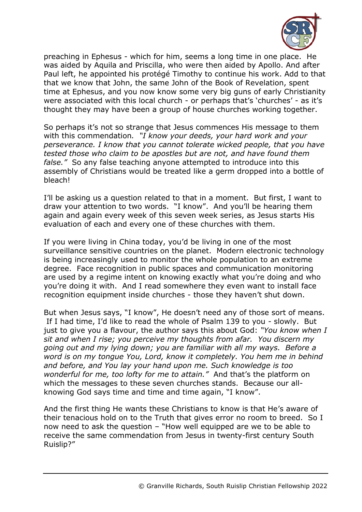

preaching in Ephesus - which for him, seems a long time in one place. He was aided by Aquila and Priscilla, who were then aided by Apollo. And after Paul left, he appointed his protégé Timothy to continue his work. Add to that that we know that John, the same John of the Book of Revelation, spent time at Ephesus, and you now know some very big guns of early Christianity were associated with this local church - or perhaps that's 'churches' - as it's thought they may have been a group of house churches working together.

So perhaps it's not so strange that Jesus commences His message to them with this commendation*. "I know your deeds, your hard work and your perseverance. I know that you cannot tolerate wicked people, that you have tested those who claim to be apostles but are not, and have found them false."* So any false teaching anyone attempted to introduce into this assembly of Christians would be treated like a germ dropped into a bottle of bleach!

I'll be asking us a question related to that in a moment. But first, I want to draw your attention to two words. "I know". And you'll be hearing them again and again every week of this seven week series, as Jesus starts His evaluation of each and every one of these churches with them.

If you were living in China today, you'd be living in one of the most surveillance sensitive countries on the planet. Modern electronic technology is being increasingly used to monitor the whole population to an extreme degree. Face recognition in public spaces and communication monitoring are used by a regime intent on knowing exactly what you're doing and who you're doing it with. And I read somewhere they even want to install face recognition equipment inside churches - those they haven't shut down.

But when Jesus says, "I know", He doesn't need any of those sort of means. If I had time, I'd like to read the whole of Psalm 139 to you - slowly. But just to give you a flavour, the author says this about God: *"You know when I sit and when I rise; you perceive my thoughts from afar. You discern my going out and my lying down; you are familiar with all my ways. Before a word is on my tongue You, Lord, know it completely. You hem me in behind and before, and You lay your hand upon me. Such knowledge is too wonderful for me, too lofty for me to attain."* And that's the platform on which the messages to these seven churches stands. Because our allknowing God says time and time and time again, "I know".

And the first thing He wants these Christians to know is that He's aware of their tenacious hold on to the Truth that gives error no room to breed. So I now need to ask the question – "How well equipped are we to be able to receive the same commendation from Jesus in twenty-first century South Ruislip?"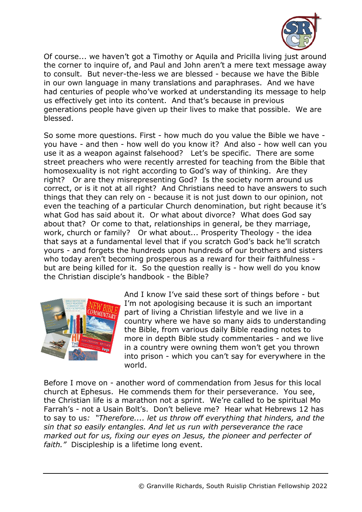

Of course... we haven't got a Timothy or Aquila and Pricilla living just around the corner to inquire of, and Paul and John aren't a mere text message away to consult. But never-the-less we are blessed - because we have the Bible in our own language in many translations and paraphrases. And we have had centuries of people who've worked at understanding its message to help us effectively get into its content. And that's because in previous generations people have given up their lives to make that possible. We are blessed.

So some more questions. First - how much do you value the Bible we have you have - and then - how well do you know it? And also - how well can you use it as a weapon against falsehood? Let's be specific. There are some street preachers who were recently arrested for teaching from the Bible that homosexuality is not right according to God's way of thinking. Are they right? Or are they misrepresenting God? Is the society norm around us correct, or is it not at all right? And Christians need to have answers to such things that they can rely on - because it is not just down to our opinion, not even the teaching of a particular Church denomination, but right because it's what God has said about it. Or what about divorce? What does God say about that? Or come to that, relationships in general, be they marriage, work, church or family? Or what about... Prosperity Theology - the idea that says at a fundamental level that if you scratch God's back he'll scratch yours - and forgets the hundreds upon hundreds of our brothers and sisters who today aren't becoming prosperous as a reward for their faithfulness but are being killed for it. So the question really is - how well do you know the Christian disciple's handbook - the Bible?



And I know I've said these sort of things before - but I'm not apologising because it is such an important part of living a Christian lifestyle and we live in a country where we have so many aids to understanding the Bible, from various daily Bible reading notes to more in depth Bible study commentaries - and we live in a country were owning them won't get you thrown into prison - which you can't say for everywhere in the world.

Before I move on - another word of commendation from Jesus for this local church at Ephesus. He commends them for their perseverance. You see, the Christian life is a marathon not a sprint. We're called to be spiritual Mo Farrah's - not a Usain Bolt's. Don't believe me? Hear what Hebrews 12 has to say to us*: "Therefore.... let us throw off everything that hinders, and the sin that so easily entangles. And let us run with perseverance the race marked out for us, fixing our eyes on Jesus, the pioneer and perfecter of faith."* Discipleship is a lifetime long event.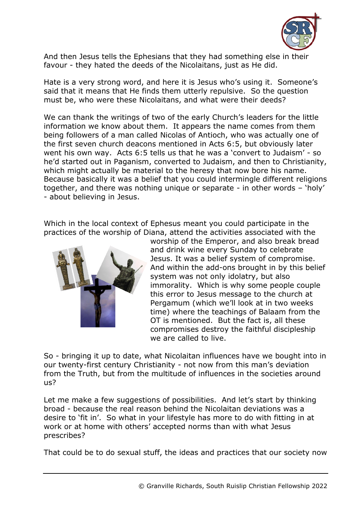

And then Jesus tells the Ephesians that they had something else in their favour - they hated the deeds of the Nicolaitans, just as He did.

Hate is a very strong word, and here it is Jesus who's using it. Someone's said that it means that He finds them utterly repulsive. So the question must be, who were these Nicolaitans, and what were their deeds?

We can thank the writings of two of the early Church's leaders for the little information we know about them. It appears the name comes from them being followers of a man called Nicolas of Antioch, who was actually one of the first seven church deacons mentioned in Acts 6:5, but obviously later went his own way. Acts 6:5 tells us that he was a 'convert to Judaism' - so he'd started out in Paganism, converted to Judaism, and then to Christianity, which might actually be material to the heresy that now bore his name. Because basically it was a belief that you could intermingle different religions together, and there was nothing unique or separate - in other words – 'holy' - about believing in Jesus.

Which in the local context of Ephesus meant you could participate in the practices of the worship of Diana, attend the activities associated with the



worship of the Emperor, and also break bread and drink wine every Sunday to celebrate Jesus. It was a belief system of compromise. And within the add-ons brought in by this belief system was not only idolatry, but also immorality. Which is why some people couple this error to Jesus message to the church at Pergamum (which we'll look at in two weeks time) where the teachings of Balaam from the OT is mentioned. But the fact is, all these compromises destroy the faithful discipleship we are called to live.

So - bringing it up to date, what Nicolaitan influences have we bought into in our twenty-first century Christianity - not now from this man's deviation from the Truth, but from the multitude of influences in the societies around us?

Let me make a few suggestions of possibilities. And let's start by thinking broad - because the real reason behind the Nicolaitan deviations was a desire to 'fit in'. So what in your lifestyle has more to do with fitting in at work or at home with others' accepted norms than with what Jesus prescribes?

That could be to do sexual stuff, the ideas and practices that our society now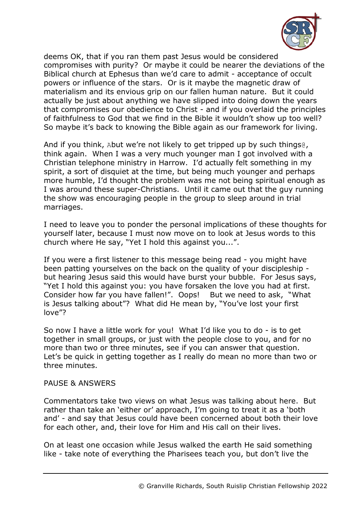

deems OK, that if you ran them past Jesus would be considered compromises with purity? Or maybe it could be nearer the deviations of the Biblical church at Ephesus than we'd care to admit - acceptance of occult powers or influence of the stars. Or is it maybe the magnetic draw of materialism and its envious grip on our fallen human nature. But it could actually be just about anything we have slipped into doing down the years that compromises our obedience to Christ - and if you overlaid the principles of faithfulness to God that we find in the Bible it wouldn't show up too well? So maybe it's back to knowing the Bible again as our framework for living.

And if you think, Abut we're not likely to get tripped up by such things@, think again. When I was a very much younger man I got involved with a Christian telephone ministry in Harrow. I'd actually felt something in my spirit, a sort of disquiet at the time, but being much younger and perhaps more humble, I'd thought the problem was me not being spiritual enough as I was around these super-Christians. Until it came out that the guy running the show was encouraging people in the group to sleep around in trial marriages.

I need to leave you to ponder the personal implications of these thoughts for yourself later, because I must now move on to look at Jesus words to this church where He say, "Yet I hold this against you...".

If you were a first listener to this message being read - you might have been patting yourselves on the back on the quality of your discipleship but hearing Jesus said this would have burst your bubble. For Jesus says, "Yet I hold this against you: you have forsaken the love you had at first. Consider how far you have fallen!". Oops! But we need to ask, "What is Jesus talking about"? What did He mean by, "You've lost your first love"?

So now I have a little work for you! What I'd like you to do - is to get together in small groups, or just with the people close to you, and for no more than two or three minutes, see if you can answer that question. Let's be quick in getting together as I really do mean no more than two or three minutes.

## PAUSE & ANSWERS

Commentators take two views on what Jesus was talking about here. But rather than take an 'either or' approach, I'm going to treat it as a 'both and' - and say that Jesus could have been concerned about both their love for each other, and, their love for Him and His call on their lives.

On at least one occasion while Jesus walked the earth He said something like - take note of everything the Pharisees teach you, but don't live the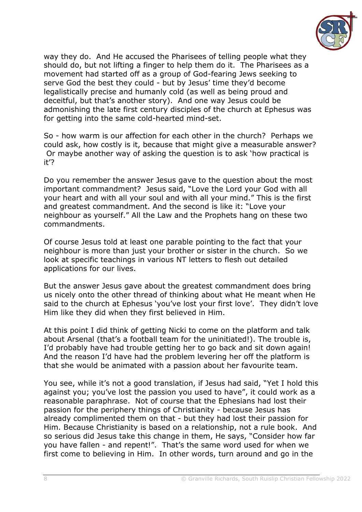

way they do. And He accused the Pharisees of telling people what they should do, but not lifting a finger to help them do it. The Pharisees as a movement had started off as a group of God-fearing Jews seeking to serve God the best they could - but by Jesus' time they'd become legalistically precise and humanly cold (as well as being proud and deceitful, but that's another story). And one way Jesus could be admonishing the late first century disciples of the church at Ephesus was for getting into the same cold-hearted mind-set.

So - how warm is our affection for each other in the church? Perhaps we could ask, how costly is it, because that might give a measurable answer? Or maybe another way of asking the question is to ask 'how practical is it'?

Do you remember the answer Jesus gave to the question about the most important commandment? Jesus said, "Love the Lord your God with all your heart and with all your soul and with all your mind." This is the first and greatest commandment. And the second is like it: "Love your neighbour as yourself." All the Law and the Prophets hang on these two commandments.

Of course Jesus told at least one parable pointing to the fact that your neighbour is more than just your brother or sister in the church. So we look at specific teachings in various NT letters to flesh out detailed applications for our lives.

But the answer Jesus gave about the greatest commandment does bring us nicely onto the other thread of thinking about what He meant when He said to the church at Ephesus 'you've lost your first love'. They didn't love Him like they did when they first believed in Him.

At this point I did think of getting Nicki to come on the platform and talk about Arsenal (that's a football team for the uninitiated!). The trouble is, I'd probably have had trouble getting her to go back and sit down again! And the reason I'd have had the problem levering her off the platform is that she would be animated with a passion about her favourite team.

You see, while it's not a good translation, if Jesus had said, "Yet I hold this against you; you've lost the passion you used to have", it could work as a reasonable paraphrase. Not of course that the Ephesians had lost their passion for the periphery things of Christianity - because Jesus has already complimented them on that - but they had lost their passion for Him. Because Christianity is based on a relationship, not a rule book. And so serious did Jesus take this change in them, He says, "Consider how far you have fallen - and repent!". That's the same word used for when we first come to believing in Him. In other words, turn around and go in the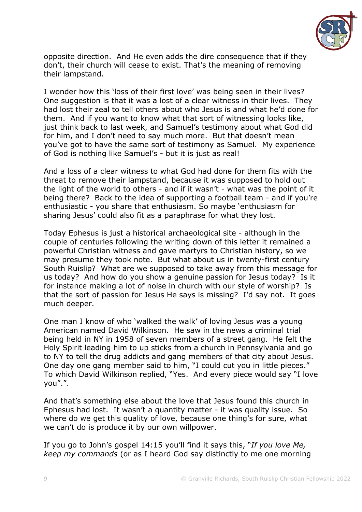

opposite direction. And He even adds the dire consequence that if they don't, their church will cease to exist. That's the meaning of removing their lampstand.

I wonder how this 'loss of their first love' was being seen in their lives? One suggestion is that it was a lost of a clear witness in their lives. They had lost their zeal to tell others about who Jesus is and what he'd done for them. And if you want to know what that sort of witnessing looks like, just think back to last week, and Samuel's testimony about what God did for him, and I don't need to say much more. But that doesn't mean you've got to have the same sort of testimony as Samuel. My experience of God is nothing like Samuel's - but it is just as real!

And a loss of a clear witness to what God had done for them fits with the threat to remove their lampstand, because it was supposed to hold out the light of the world to others - and if it wasn't - what was the point of it being there? Back to the idea of supporting a football team - and if you're enthusiastic - you share that enthusiasm. So maybe 'enthusiasm for sharing Jesus' could also fit as a paraphrase for what they lost.

Today Ephesus is just a historical archaeological site - although in the couple of centuries following the writing down of this letter it remained a powerful Christian witness and gave martyrs to Christian history, so we may presume they took note. But what about us in twenty-first century South Ruislip? What are we supposed to take away from this message for us today? And how do you show a genuine passion for Jesus today? Is it for instance making a lot of noise in church with our style of worship? Is that the sort of passion for Jesus He says is missing? I'd say not. It goes much deeper.

One man I know of who 'walked the walk' of loving Jesus was a young American named David Wilkinson. He saw in the news a criminal trial being held in NY in 1958 of seven members of a street gang. He felt the Holy Spirit leading him to up sticks from a church in Pennsylvania and go to NY to tell the drug addicts and gang members of that city about Jesus. One day one gang member said to him, "I could cut you in little pieces." To which David Wilkinson replied, "Yes. And every piece would say "I love you".".

And that's something else about the love that Jesus found this church in Ephesus had lost. It wasn't a quantity matter - it was quality issue. So where do we get this quality of love, because one thing's for sure, what we can't do is produce it by our own willpower.

If you go to John's gospel 14:15 you'll find it says this, "*If you love Me, keep my commands* (or as I heard God say distinctly to me one morning